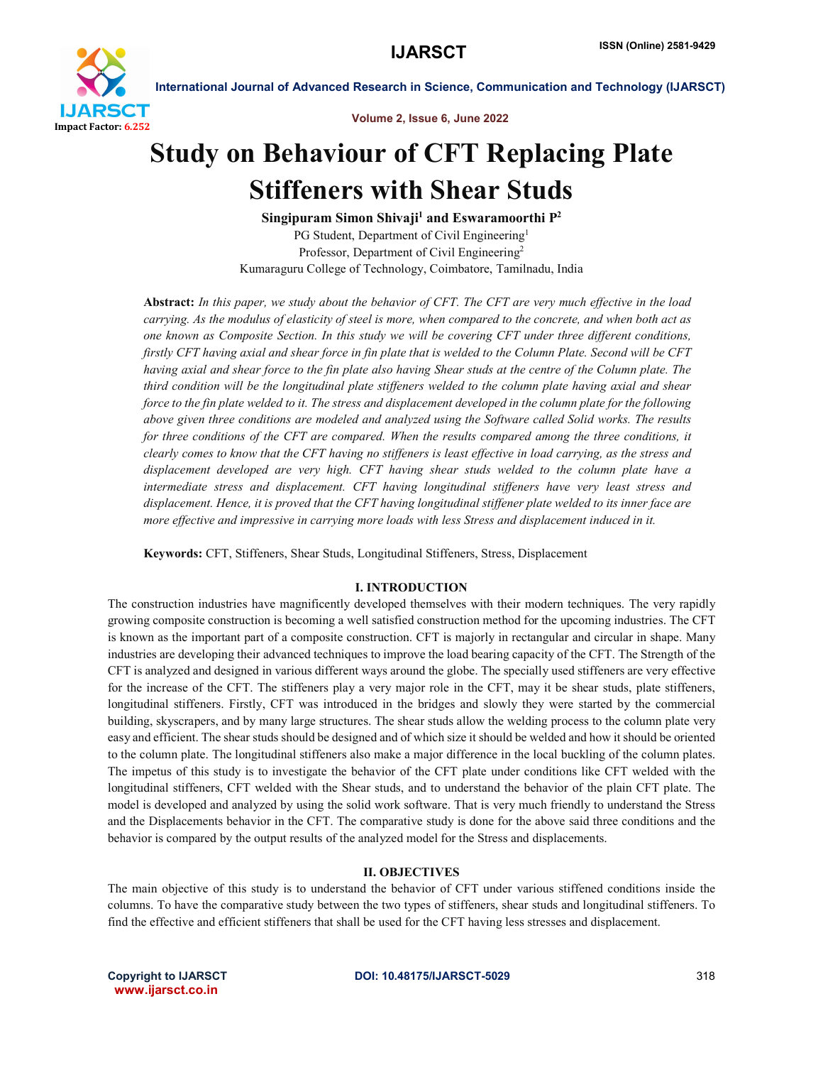

Volume 2, Issue 6, June 2022

# Study on Behaviour of CFT Replacing Plate Stiffeners with Shear Studs

Singipuram Simon Shivaji<sup>1</sup> and Eswaramoorthi  $P^2$ PG Student, Department of Civil Engineering<sup>1</sup> Professor, Department of Civil Engineering<sup>2</sup> Kumaraguru College of Technology, Coimbatore, Tamilnadu, India

Abstract: *In this paper, we study about the behavior of CFT. The CFT are very much effective in the load carrying. As the modulus of elasticity of steel is more, when compared to the concrete, and when both act as one known as Composite Section. In this study we will be covering CFT under three different conditions, firstly CFT having axial and shear force in fin plate that is welded to the Column Plate. Second will be CFT having axial and shear force to the fin plate also having Shear studs at the centre of the Column plate. The third condition will be the longitudinal plate stiffeners welded to the column plate having axial and shear force to the fin plate welded to it. The stress and displacement developed in the column plate for the following above given three conditions are modeled and analyzed using the Software called Solid works. The results*  for three conditions of the CFT are compared. When the results compared among the three conditions, it *clearly comes to know that the CFT having no stiffeners is least effective in load carrying, as the stress and displacement developed are very high. CFT having shear studs welded to the column plate have a intermediate stress and displacement. CFT having longitudinal stiffeners have very least stress and displacement. Hence, it is proved that the CFT having longitudinal stiffener plate welded to its inner face are more effective and impressive in carrying more loads with less Stress and displacement induced in it.*

Keywords: CFT, Stiffeners, Shear Studs, Longitudinal Stiffeners, Stress, Displacement

### I. INTRODUCTION

The construction industries have magnificently developed themselves with their modern techniques. The very rapidly growing composite construction is becoming a well satisfied construction method for the upcoming industries. The CFT is known as the important part of a composite construction. CFT is majorly in rectangular and circular in shape. Many industries are developing their advanced techniques to improve the load bearing capacity of the CFT. The Strength of the CFT is analyzed and designed in various different ways around the globe. The specially used stiffeners are very effective for the increase of the CFT. The stiffeners play a very major role in the CFT, may it be shear studs, plate stiffeners, longitudinal stiffeners. Firstly, CFT was introduced in the bridges and slowly they were started by the commercial building, skyscrapers, and by many large structures. The shear studs allow the welding process to the column plate very easy and efficient. The shear studs should be designed and of which size it should be welded and how it should be oriented to the column plate. The longitudinal stiffeners also make a major difference in the local buckling of the column plates. The impetus of this study is to investigate the behavior of the CFT plate under conditions like CFT welded with the longitudinal stiffeners, CFT welded with the Shear studs, and to understand the behavior of the plain CFT plate. The model is developed and analyzed by using the solid work software. That is very much friendly to understand the Stress and the Displacements behavior in the CFT. The comparative study is done for the above said three conditions and the behavior is compared by the output results of the analyzed model for the Stress and displacements.

### II. OBJECTIVES

The main objective of this study is to understand the behavior of CFT under various stiffened conditions inside the columns. To have the comparative study between the two types of stiffeners, shear studs and longitudinal stiffeners. To find the effective and efficient stiffeners that shall be used for the CFT having less stresses and displacement.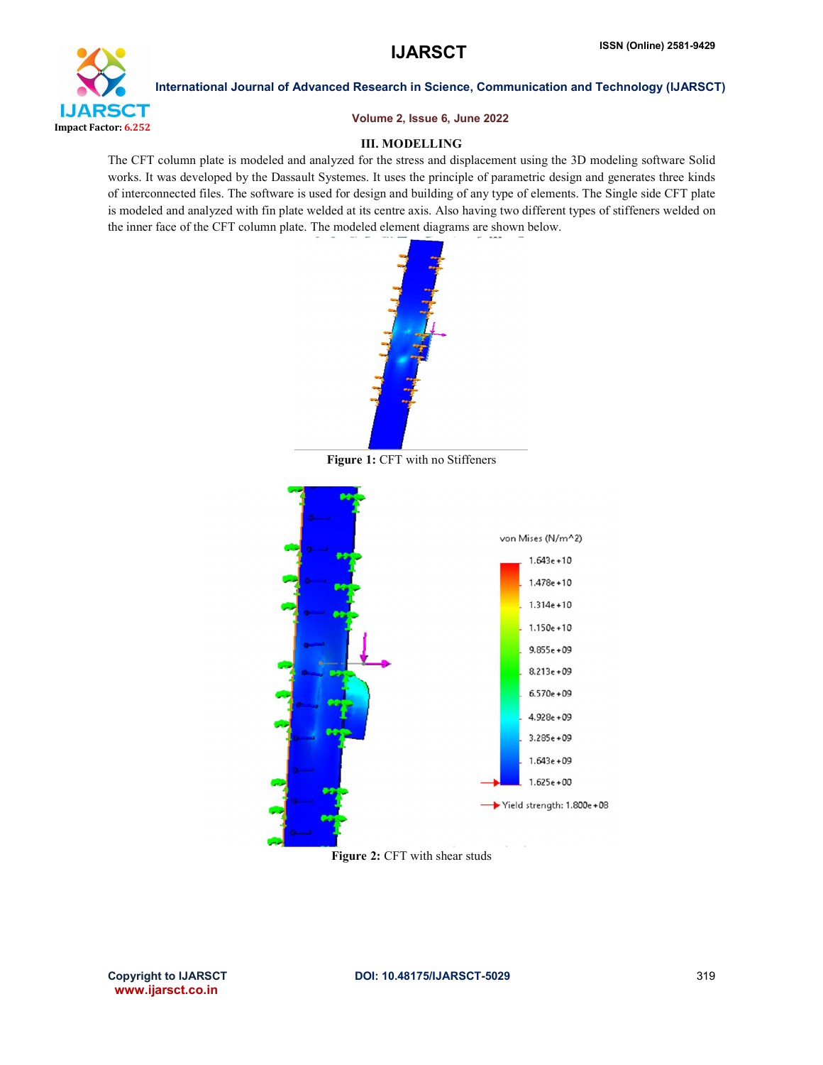

Volume 2, Issue 6, June 2022

## III. MODELLING

The CFT column plate is modeled and analyzed for the stress and displacement using the 3D modeling software Solid works. It was developed by the Dassault Systemes. It uses the principle of parametric design and generates three kinds of interconnected files. The software is used for design and building of any type of elements. The Single side CFT plate is modeled and analyzed with fin plate welded at its centre axis. Also having two different types of stiffeners welded on the inner face of the CFT column plate. The modeled element diagrams are shown below.



Figure 1: CFT with no Stiffeners



Figure 2: CFT with shear studs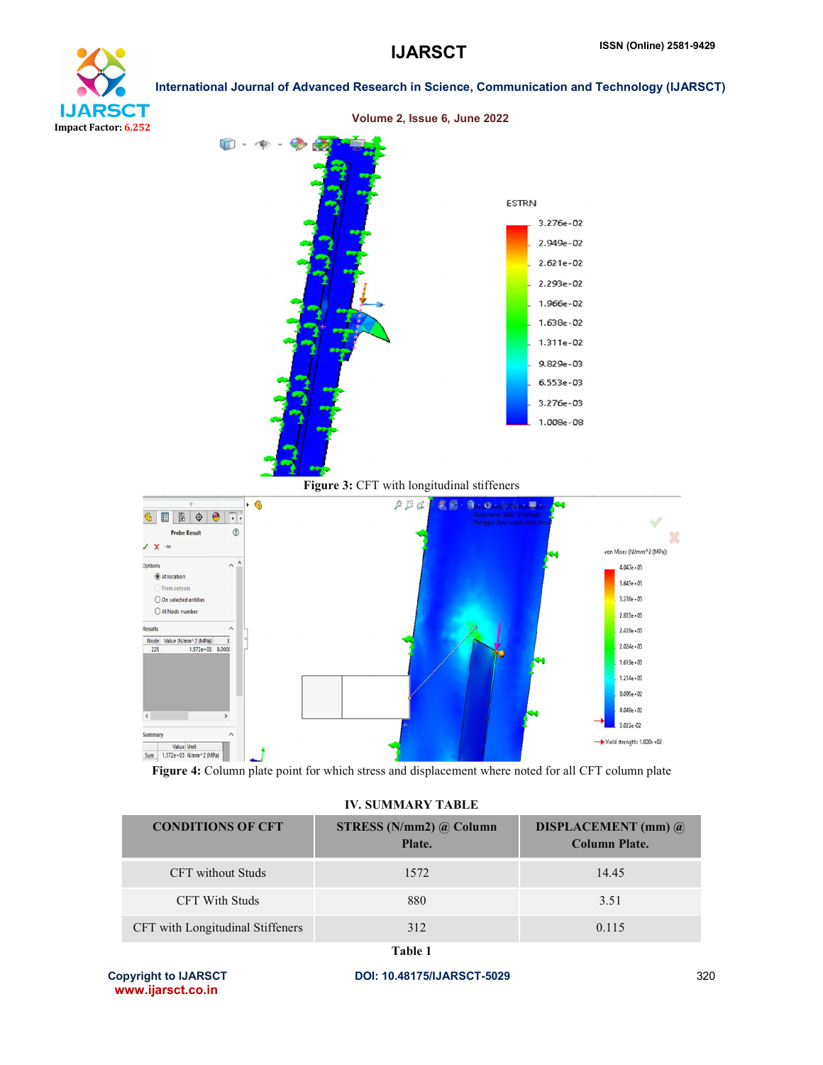



Figure 4: Column plate point for which stress and displacement where noted for all CFT column plate

#### IV. SUMMARY TABLE

| <b>CONDITIONS OF CFT</b>         | STRESS ( $N/mm2$ ) @ Column<br>Plate. | <b>DISPLACEMENT</b> (mm) $\omega$<br><b>Column Plate.</b> |
|----------------------------------|---------------------------------------|-----------------------------------------------------------|
| <b>CFT</b> without Studs         | 1572                                  | 14.45                                                     |
| <b>CFT With Studs</b>            | 880                                   | 3.51                                                      |
| CFT with Longitudinal Stiffeners | 312                                   | 0.115                                                     |

Table 1

www.ijarsct.co.in

Copyright to IJARSCT **DOI: 10.48175/IJARSCT-5029** 320